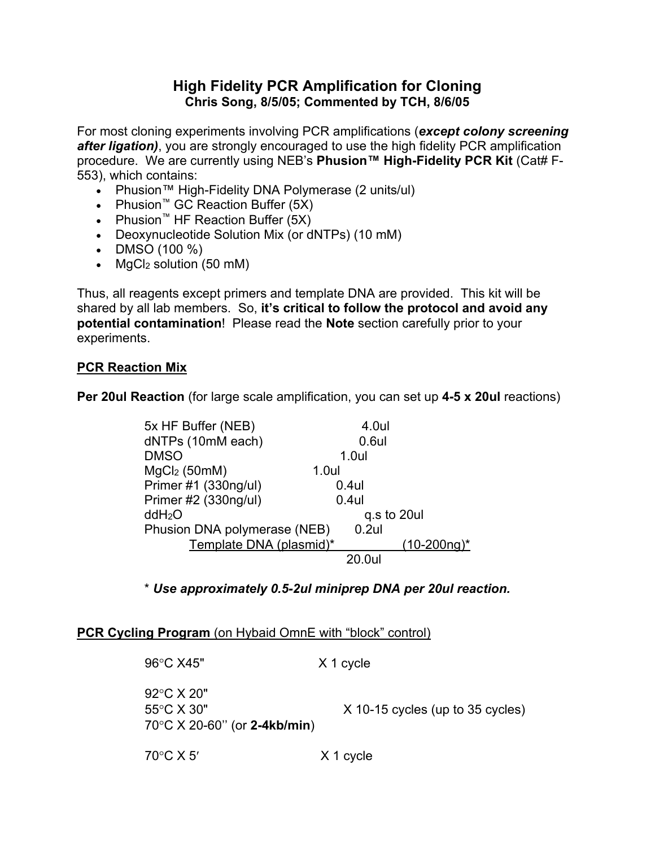## **High Fidelity PCR Amplification for Cloning Chris Song, 8/5/05; Commented by TCH, 8/6/05**

For most cloning experiments involving PCR amplifications (*except colony screening after ligation)*, you are strongly encouraged to use the high fidelity PCR amplification procedure. We are currently using NEB's Phusion<sup>™</sup> High-Fidelity PCR Kit (Cat# F-553), which contains:

- Phusion™ High-Fidelity DNA Polymerase (2 units/ul)
- Phusion™ GC Reaction Buffer (5X)
- Phusion<sup>™</sup> HF Reaction Buffer  $(5X)$
- Deoxynucleotide Solution Mix (or dNTPs) (10 mM)
- $\bullet$  DMSO (100 %)
- $MgCl<sub>2</sub>$  solution (50 mM)

Thus, all reagents except primers and template DNA are provided. This kit will be shared by all lab members. So, **it's critical to follow the protocol and avoid any potential contamination**! Please read the **Note** section carefully prior to your experiments.

## **PCR Reaction Mix**

**Per 20ul Reaction** (for large scale amplification, you can set up **4-5 x 20ul** reactions)

| 5x HF Buffer (NEB)           |       | 4.0ul       |                |
|------------------------------|-------|-------------|----------------|
| dNTPs (10mM each)            |       | $0.6$ ul    |                |
| <b>DMSO</b>                  |       | $1.0$ ul    |                |
| $MgCl2$ (50mM)               | 1.0ul |             |                |
| Primer #1 (330ng/ul)         |       | $0.4$ ul    |                |
| Primer #2 (330ng/ul)         |       | $0.4$ ul    |                |
| ddH <sub>2</sub> O           |       | q.s to 20ul |                |
| Phusion DNA polymerase (NEB) |       | $0.2$ ul    |                |
| Template DNA (plasmid)*      |       |             | $(10-200ng)^*$ |
|                              |       | 20.0ul      |                |

\* *Use approximately 0.5-2ul miniprep DNA per 20ul reaction.*

## **PCR Cycling Program** (on Hybaid OmnE with "block" control)

| 96°C X45"                                                                         | X 1 cycle                          |
|-----------------------------------------------------------------------------------|------------------------------------|
| 92 °C $\times$ 20"<br>55°C X 30"<br>$70^{\circ}$ C X 20-60" (or <b>2-4kb/min)</b> | $X$ 10-15 cycles (up to 35 cycles) |
| 70 $\rm{^{\circ}C}$ X 5'                                                          | X 1 cycle                          |